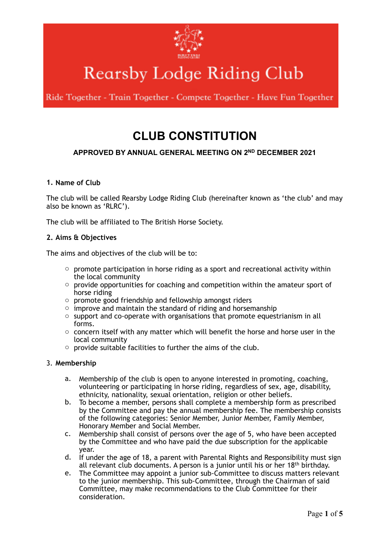

# **Rearsby Lodge Riding Club**

Ride Together - Train Together - Compete Together - Have Fun Together

# **CLUB CONSTITUTION**

# **APPROVED BY ANNUAL GENERAL MEETING ON 2ND DECEMBER 2021**

# **1. Name of Club**

The club will be called Rearsby Lodge Riding Club (hereinafter known as 'the club' and may also be known as 'RLRC').

The club will be affiliated to The British Horse Society.

#### **2. Aims & Objectives**

The aims and objectives of the club will be to:

- $\circ$  promote participation in horse riding as a sport and recreational activity within the local community
- $\circ$  provide opportunities for coaching and competition within the amateur sport of horse riding
- o promote good friendship and fellowship amongst riders
- $\circ$  improve and maintain the standard of riding and horsemanship
- o support and co-operate with organisations that promote equestrianism in all forms.
- $\circ$  concern itself with any matter which will benefit the horse and horse user in the local community
- o provide suitable facilities to further the aims of the club.

#### 3. **Membership**

- a. Membership of the club is open to anyone interested in promoting, coaching, volunteering or participating in horse riding, regardless of sex, age, disability, ethnicity, nationality, sexual orientation, religion or other beliefs.
- b. To become a member, persons shall complete a membership form as prescribed by the Committee and pay the annual membership fee. The membership consists of the following categories: Senior Member, Junior Member, Family Member, Honorary Member and Social Member.
- c. Membership shall consist of persons over the age of 5, who have been accepted by the Committee and who have paid the due subscription for the applicable year.
- d. If under the age of 18, a parent with Parental Rights and Responsibility must sign all relevant club documents. A person is a junior until his or her 18<sup>th</sup> birthday.
- e. The Committee may appoint a junior sub-Committee to discuss matters relevant to the junior membership. This sub-Committee, through the Chairman of said Committee, may make recommendations to the Club Committee for their consideration.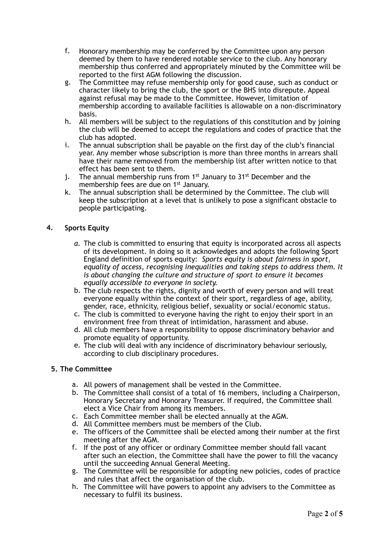- f. Honorary membership may be conferred by the Committee upon any person deemed by them to have rendered notable service to the club. Any honorary membership thus conferred and appropriately minuted by the Committee will be reported to the first AGM following the discussion.
- g. The Committee may refuse membership only for good cause, such as conduct or character likely to bring the club, the sport or the BHS into disrepute. Appeal against refusal may be made to the Committee. However, limitation of membership according to available facilities is allowable on a non-discriminatory basis.
- h. All members will be subject to the regulations of this constitution and by joining the club will be deemed to accept the regulations and codes of practice that the club has adopted.
- i. The annual subscription shall be payable on the first day of the club's financial year. Any member whose subscription is more than three months in arrears shall have their name removed from the membership list after written notice to that effect has been sent to them.
- i. The annual membership runs from  $1^{st}$  January to  $31^{st}$  December and the membership fees are due on 1st January.
- k. The annual subscription shall be determined by the Committee. The club will keep the subscription at a level that is unlikely to pose a significant obstacle to people participating.

# **4. Sports Equity**

- *a.* The club is committed to ensuring that equity is incorporated across all aspects of its development. In doing so it acknowledges and adopts the following Sport England definition of sports equity: *Sports equity is about fairness in sport, equality of access, recognising inequalities and taking steps to address them. It is about changing the culture and structure of sport to ensure it becomes equally accessible to everyone in society.*
- b. The club respects the rights, dignity and worth of every person and will treat everyone equally within the context of their sport, regardless of age, ability, gender, race, ethnicity, religious belief, sexuality or social/economic status.
- c. The club is committed to everyone having the right to enjoy their sport in an environment free from threat of intimidation, harassment and abuse.
- d. All club members have a responsibility to oppose discriminatory behavior and promote equality of opportunity.
- e. The club will deal with any incidence of discriminatory behaviour seriously, according to club disciplinary procedures.

# **5. The Committee**

- a. All powers of management shall be vested in the Committee.
- b. The Committee shall consist of a total of 16 members, including a Chairperson, Honorary Secretary and Honorary Treasurer. If required, the Committee shall elect a Vice Chair from among its members.
- c. Each Committee member shall be elected annually at the AGM.
- d. All Committee members must be members of the Club.
- e. The officers of the Committee shall be elected among their number at the first meeting after the AGM.
- f. If the post of any officer or ordinary Committee member should fall vacant after such an election, the Committee shall have the power to fill the vacancy until the succeeding Annual General Meeting.
- g. The Committee will be responsible for adopting new policies, codes of practice and rules that affect the organisation of the club.
- h. The Committee will have powers to appoint any advisers to the Committee as necessary to fulfil its business.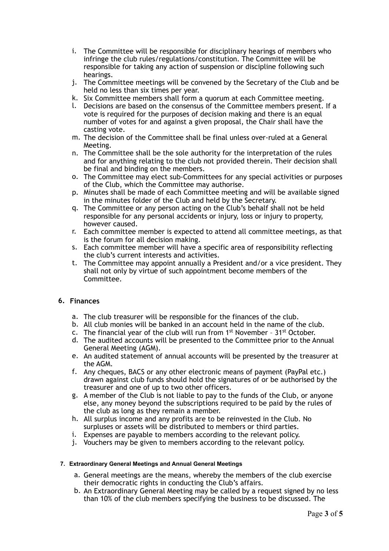- i. The Committee will be responsible for disciplinary hearings of members who infringe the club rules/regulations/constitution. The Committee will be responsible for taking any action of suspension or discipline following such hearings.
- j. The Committee meetings will be convened by the Secretary of the Club and be held no less than six times per year.
- k. Six Committee members shall form a quorum at each Committee meeting.
- l. Decisions are based on the consensus of the Committee members present. If a vote is required for the purposes of decision making and there is an equal number of votes for and against a given proposal, the Chair shall have the casting vote.
- m. The decision of the Committee shall be final unless over-ruled at a General Meeting.
- n. The Committee shall be the sole authority for the interpretation of the rules and for anything relating to the club not provided therein. Their decision shall be final and binding on the members.
- o. The Committee may elect sub-Committees for any special activities or purposes of the Club, which the Committee may authorise.
- p. Minutes shall be made of each Committee meeting and will be available signed in the minutes folder of the Club and held by the Secretary.
- q. The Committee or any person acting on the Club's behalf shall not be held responsible for any personal accidents or injury, loss or injury to property, however caused.
- r. Each committee member is expected to attend all committee meetings, as that is the forum for all decision making.
- s. Each committee member will have a specific area of responsibility reflecting the club's current interests and activities.
- t. The Committee may appoint annually a President and/or a vice president. They shall not only by virtue of such appointment become members of the Committee.

# **6. Finances**

- a. The club treasurer will be responsible for the finances of the club.
- b. All club monies will be banked in an account held in the name of the club.
- c. The financial year of the club will run from 1st November 31st October.
- d. The audited accounts will be presented to the Committee prior to the Annual General Meeting (AGM).
- e. An audited statement of annual accounts will be presented by the treasurer at the AGM.
- f. Any cheques, BACS or any other electronic means of payment (PayPal etc.) drawn against club funds should hold the signatures of or be authorised by the treasurer and one of up to two other officers.
- g. A member of the Club is not liable to pay to the funds of the Club, or anyone else, any money beyond the subscriptions required to be paid by the rules of the club as long as they remain a member.
- h. All surplus income and any profits are to be reinvested in the Club. No surpluses or assets will be distributed to members or third parties.
- i. Expenses are payable to members according to the relevant policy.
- j. Vouchers may be given to members according to the relevant policy.

#### **7. Extraordinary General Meetings and Annual General Meetings**

- a. General meetings are the means, whereby the members of the club exercise their democratic rights in conducting the Club's affairs.
- b. An Extraordinary General Meeting may be called by a request signed by no less than 10% of the club members specifying the business to be discussed. The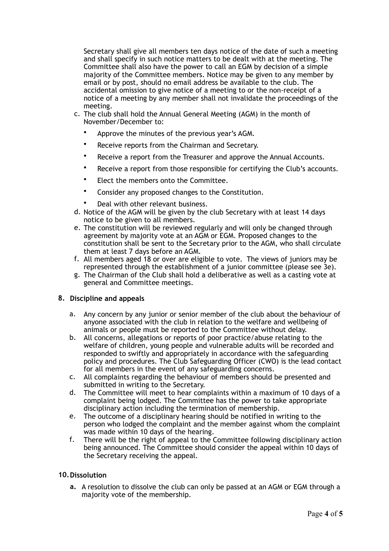Secretary shall give all members ten days notice of the date of such a meeting and shall specify in such notice matters to be dealt with at the meeting. The Committee shall also have the power to call an EGM by decision of a simple majority of the Committee members. Notice may be given to any member by email or by post, should no email address be available to the club. The accidental omission to give notice of a meeting to or the non-receipt of a notice of a meeting by any member shall not invalidate the proceedings of the meeting.

- c. The club shall hold the Annual General Meeting (AGM) in the month of November/December to:
	- Approve the minutes of the previous year's AGM.
	- Receive reports from the Chairman and Secretary.
	- Receive a report from the Treasurer and approve the Annual Accounts.
	- Receive a report from those responsible for certifying the Club's accounts.
	- Elect the members onto the Committee.
	- Consider any proposed changes to the Constitution.
	- Deal with other relevant business.
- d. Notice of the AGM will be given by the club Secretary with at least 14 days notice to be given to all members.
- e. The constitution will be reviewed regularly and will only be changed through agreement by majority vote at an AGM or EGM. Proposed changes to the constitution shall be sent to the Secretary prior to the AGM, who shall circulate them at least 7 days before an AGM.
- f. All members aged 18 or over are eligible to vote. The views of juniors may be represented through the establishment of a junior committee (please see 3e).
- g. The Chairman of the Club shall hold a deliberative as well as a casting vote at general and Committee meetings.

# **8. Discipline and appeals**

- a. Any concern by any junior or senior member of the club about the behaviour of anyone associated with the club in relation to the welfare and wellbeing of animals or people must be reported to the Committee without delay.
- b. All concerns, allegations or reports of poor practice/abuse relating to the welfare of children, young people and vulnerable adults will be recorded and responded to swiftly and appropriately in accordance with the safeguarding policy and procedures. The Club Safeguarding Officer (CWO) is the lead contact for all members in the event of any safeguarding concerns.
- c. All complaints regarding the behaviour of members should be presented and submitted in writing to the Secretary.
- d. The Committee will meet to hear complaints within a maximum of 10 days of a complaint being lodged. The Committee has the power to take appropriate disciplinary action including the termination of membership.
- e. The outcome of a disciplinary hearing should be notified in writing to the person who lodged the complaint and the member against whom the complaint was made within 10 days of the hearing.
- f. There will be the right of appeal to the Committee following disciplinary action being announced. The Committee should consider the appeal within 10 days of the Secretary receiving the appeal.

# **10.Dissolution**

**a.** A resolution to dissolve the club can only be passed at an AGM or EGM through a majority vote of the membership.